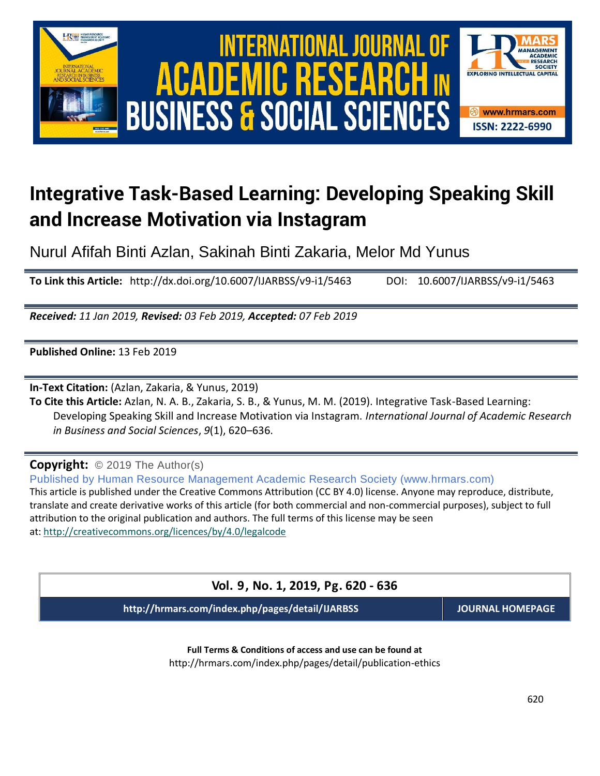

# **Integrative Task-Based Learning: Developing Speaking Skill and Increase Motivation via Instagram**

Nurul Afifah Binti Azlan, Sakinah Binti Zakaria, Melor Md Yunus

**To Link this Article:** http://dx.doi.org/10.6007/IJARBSS/v9-i1/5463 DOI: 10.6007/IJARBSS/v9-i1/5463

*Received: 11 Jan 2019, Revised: 03 Feb 2019, Accepted: 07 Feb 2019*

**Published Online:** 13 Feb 2019

**In-Text Citation:** (Azlan, Zakaria, & Yunus, 2019)

**To Cite this Article:** Azlan, N. A. B., Zakaria, S. B., & Yunus, M. M. (2019). Integrative Task-Based Learning: Developing Speaking Skill and Increase Motivation via Instagram. *International Journal of Academic Research in Business and Social Sciences*, *9*(1), 620–636.

**Copyright:** © 2019 The Author(s)

Published by Human Resource Management Academic Research Society (www.hrmars.com) This article is published under the Creative Commons Attribution (CC BY 4.0) license. Anyone may reproduce, distribute, translate and create derivative works of this article (for both commercial and non-commercial purposes), subject to full attribution to the original publication and authors. The full terms of this license may be seen at: <http://creativecommons.org/licences/by/4.0/legalcode>

**Vol. 9, No. 1, 2019, Pg. 620 - 636**

**http://hrmars.com/index.php/pages/detail/IJARBSS JOURNAL HOMEPAGE**

**Full Terms & Conditions of access and use can be found at** http://hrmars.com/index.php/pages/detail/publication-ethics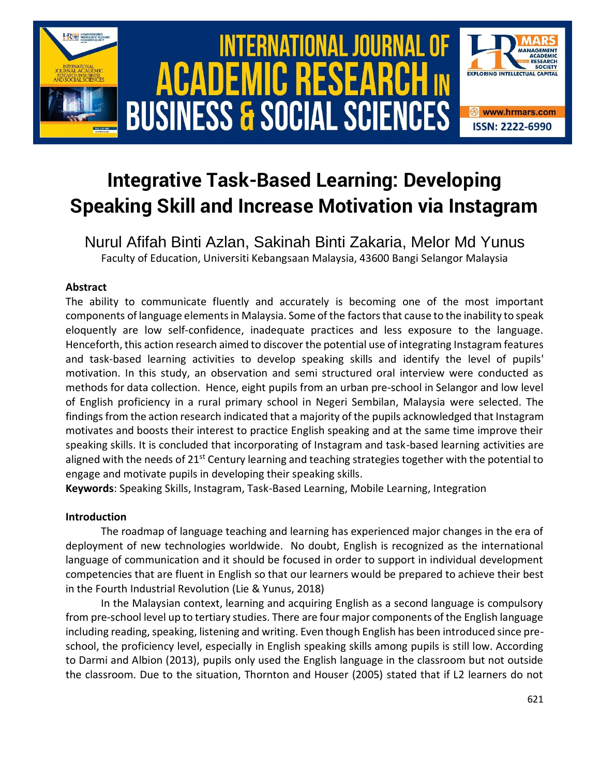

# **Integrative Task-Based Learning: Developing Speaking Skill and Increase Motivation via Instagram**

Nurul Afifah Binti Azlan, Sakinah Binti Zakaria, Melor Md Yunus Faculty of Education, Universiti Kebangsaan Malaysia, 43600 Bangi Selangor Malaysia

# **Abstract**

The ability to communicate fluently and accurately is becoming one of the most important components of language elements in Malaysia. Some of the factors that cause to the inability to speak eloquently are low self-confidence, inadequate practices and less exposure to the language. Henceforth, this action research aimed to discover the potential use of integrating Instagram features and task-based learning activities to develop speaking skills and identify the level of pupils' motivation. In this study, an observation and semi structured oral interview were conducted as methods for data collection. Hence, eight pupils from an urban pre-school in Selangor and low level of English proficiency in a rural primary school in Negeri Sembilan, Malaysia were selected. The findings from the action research indicated that a majority of the pupils acknowledged that Instagram motivates and boosts their interest to practice English speaking and at the same time improve their speaking skills. It is concluded that incorporating of Instagram and task-based learning activities are aligned with the needs of 21<sup>st</sup> Century learning and teaching strategies together with the potential to engage and motivate pupils in developing their speaking skills.

**Keywords**: Speaking Skills, Instagram, Task-Based Learning, Mobile Learning, Integration

## **Introduction**

The roadmap of language teaching and learning has experienced major changes in the era of deployment of new technologies worldwide. No doubt, English is recognized as the international language of communication and it should be focused in order to support in individual development competencies that are fluent in English so that our learners would be prepared to achieve their best in the Fourth Industrial Revolution (Lie & Yunus, 2018)

In the Malaysian context, learning and acquiring English as a second language is compulsory from pre-school level up to tertiary studies. There are four major components of the English language including reading, speaking, listening and writing. Even though English has been introduced since preschool, the proficiency level, especially in English speaking skills among pupils is still low. According to Darmi and Albion (2013), pupils only used the English language in the classroom but not outside the classroom. Due to the situation, Thornton and Houser (2005) stated that if L2 learners do not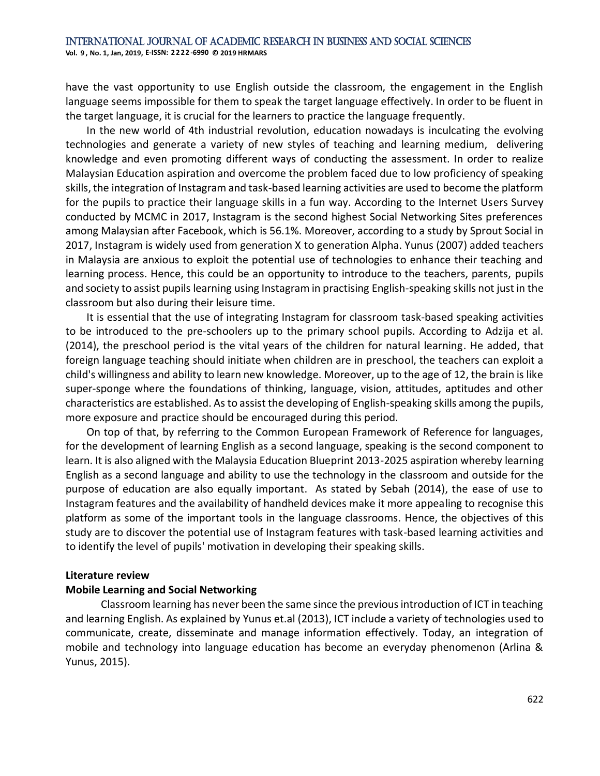have the vast opportunity to use English outside the classroom, the engagement in the English language seems impossible for them to speak the target language effectively. In order to be fluent in the target language, it is crucial for the learners to practice the language frequently.

In the new world of 4th industrial revolution, education nowadays is inculcating the evolving technologies and generate a variety of new styles of teaching and learning medium, delivering knowledge and even promoting different ways of conducting the assessment. In order to realize Malaysian Education aspiration and overcome the problem faced due to low proficiency of speaking skills, the integration of Instagram and task-based learning activities are used to become the platform for the pupils to practice their language skills in a fun way. According to the Internet Users Survey conducted by MCMC in 2017, Instagram is the second highest Social Networking Sites preferences among Malaysian after Facebook, which is 56.1%. Moreover, according to a study by Sprout Social in 2017, Instagram is widely used from generation X to generation Alpha. Yunus (2007) added teachers in Malaysia are anxious to exploit the potential use of technologies to enhance their teaching and learning process. Hence, this could be an opportunity to introduce to the teachers, parents, pupils and society to assist pupils learning using Instagram in practising English-speaking skills not just in the classroom but also during their leisure time.

It is essential that the use of integrating Instagram for classroom task-based speaking activities to be introduced to the pre-schoolers up to the primary school pupils. According to Adzija et al. (2014), the preschool period is the vital years of the children for natural learning. He added, that foreign language teaching should initiate when children are in preschool, the teachers can exploit a child's willingness and ability to learn new knowledge. Moreover, up to the age of 12, the brain is like super-sponge where the foundations of thinking, language, vision, attitudes, aptitudes and other characteristics are established. As to assist the developing of English-speaking skills among the pupils, more exposure and practice should be encouraged during this period.

On top of that, by referring to the Common European Framework of Reference for languages, for the development of learning English as a second language, speaking is the second component to learn. It is also aligned with the Malaysia Education Blueprint 2013-2025 aspiration whereby learning English as a second language and ability to use the technology in the classroom and outside for the purpose of education are also equally important. As stated by Sebah (2014), the ease of use to Instagram features and the availability of handheld devices make it more appealing to recognise this platform as some of the important tools in the language classrooms. Hence, the objectives of this study are to discover the potential use of Instagram features with task-based learning activities and to identify the level of pupils' motivation in developing their speaking skills.

#### **Literature review**

#### **Mobile Learning and Social Networking**

Classroom learning has never been the same since the previous introduction of ICT in teaching and learning English. As explained by Yunus et.al (2013), ICT include a variety of technologies used to communicate, create, disseminate and manage information effectively. Today, an integration of mobile and technology into language education has become an everyday phenomenon (Arlina & Yunus, 2015).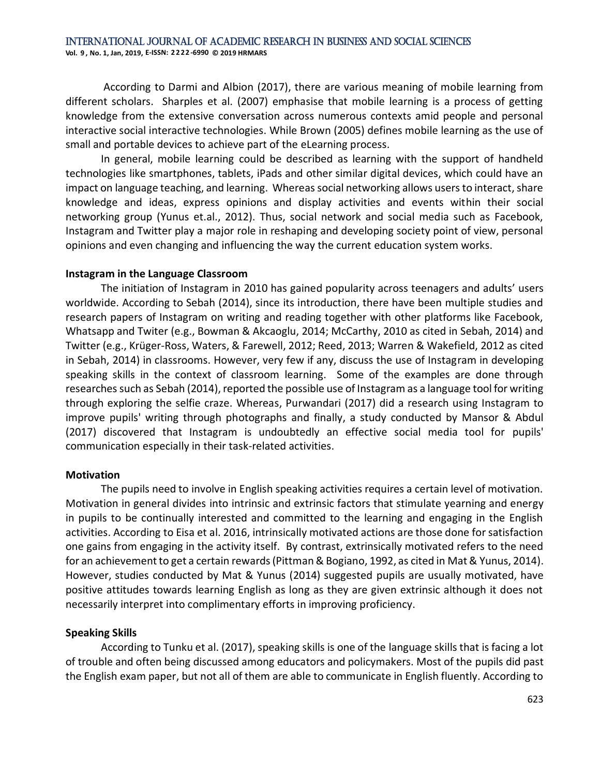According to Darmi and Albion (2017), there are various meaning of mobile learning from different scholars. Sharples et al. (2007) emphasise that mobile learning is a process of getting knowledge from the extensive conversation across numerous contexts amid people and personal interactive social interactive technologies. While Brown (2005) defines mobile learning as the use of small and portable devices to achieve part of the eLearning process.

In general, mobile learning could be described as learning with the support of handheld technologies like smartphones, tablets, iPads and other similar digital devices, which could have an impact on language teaching, and learning. Whereas social networking allows users to interact, share knowledge and ideas, express opinions and display activities and events within their social networking group (Yunus et.al., 2012). Thus, social network and social media such as Facebook, Instagram and Twitter play a major role in reshaping and developing society point of view, personal opinions and even changing and influencing the way the current education system works.

#### **Instagram in the Language Classroom**

The initiation of Instagram in 2010 has gained popularity across teenagers and adults' users worldwide. According to Sebah (2014), since its introduction, there have been multiple studies and research papers of Instagram on writing and reading together with other platforms like Facebook, Whatsapp and Twiter (e.g., Bowman & Akcaoglu, 2014; McCarthy, 2010 as cited in Sebah, 2014) and Twitter (e.g., Krüger-Ross, Waters, & Farewell, 2012; Reed, 2013; Warren & Wakefield, 2012 as cited in Sebah, 2014) in classrooms. However, very few if any, discuss the use of Instagram in developing speaking skills in the context of classroom learning. Some of the examples are done through researches such as Sebah (2014), reported the possible use of Instagram as a language tool for writing through exploring the selfie craze. Whereas, Purwandari (2017) did a research using Instagram to improve pupils' writing through photographs and finally, a study conducted by Mansor & Abdul (2017) discovered that Instagram is undoubtedly an effective social media tool for pupils' communication especially in their task-related activities.

#### **Motivation**

The pupils need to involve in English speaking activities requires a certain level of motivation. Motivation in general divides into intrinsic and extrinsic factors that stimulate yearning and energy in pupils to be continually interested and committed to the learning and engaging in the English activities. According to Eisa et al. 2016, intrinsically motivated actions are those done for satisfaction one gains from engaging in the activity itself. By contrast, extrinsically motivated refers to the need for an achievement to get a certain rewards (Pittman & Bogiano, 1992, as cited in Mat & Yunus, 2014). However, studies conducted by Mat & Yunus (2014) suggested pupils are usually motivated, have positive attitudes towards learning English as long as they are given extrinsic although it does not necessarily interpret into complimentary efforts in improving proficiency.

## **Speaking Skills**

According to Tunku et al. (2017), speaking skills is one of the language skills that is facing a lot of trouble and often being discussed among educators and policymakers. Most of the pupils did past the English exam paper, but not all of them are able to communicate in English fluently. According to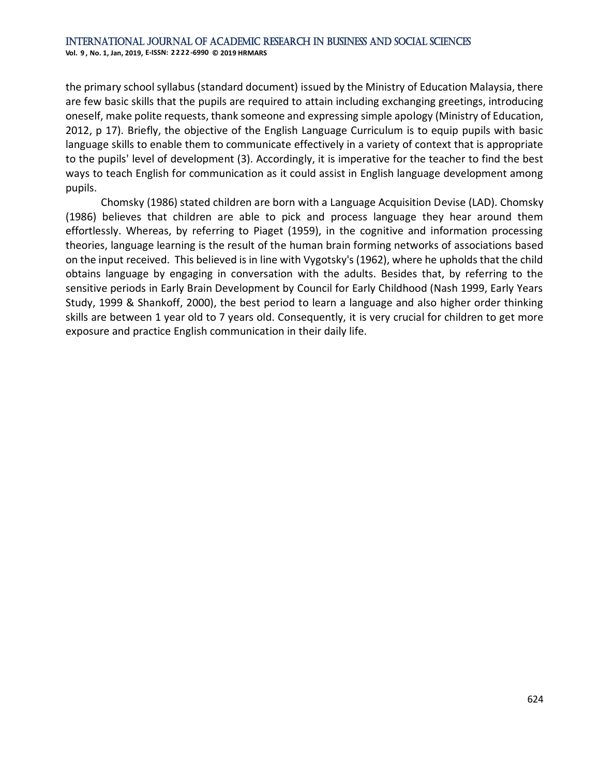the primary school syllabus (standard document) issued by the Ministry of Education Malaysia, there are few basic skills that the pupils are required to attain including exchanging greetings, introducing oneself, make polite requests, thank someone and expressing simple apology (Ministry of Education, 2012, p 17). Briefly, the objective of the English Language Curriculum is to equip pupils with basic language skills to enable them to communicate effectively in a variety of context that is appropriate to the pupils' level of development (3). Accordingly, it is imperative for the teacher to find the best ways to teach English for communication as it could assist in English language development among pupils.

Chomsky (1986) stated children are born with a Language Acquisition Devise (LAD). Chomsky (1986) believes that children are able to pick and process language they hear around them effortlessly. Whereas, by referring to Piaget (1959), in the cognitive and information processing theories, language learning is the result of the human brain forming networks of associations based on the input received. This believed is in line with Vygotsky's (1962), where he upholds that the child obtains language by engaging in conversation with the adults. Besides that, by referring to the sensitive periods in Early Brain Development by Council for Early Childhood (Nash 1999, Early Years Study, 1999 & Shankoff, 2000), the best period to learn a language and also higher order thinking skills are between 1 year old to 7 years old. Consequently, it is very crucial for children to get more exposure and practice English communication in their daily life.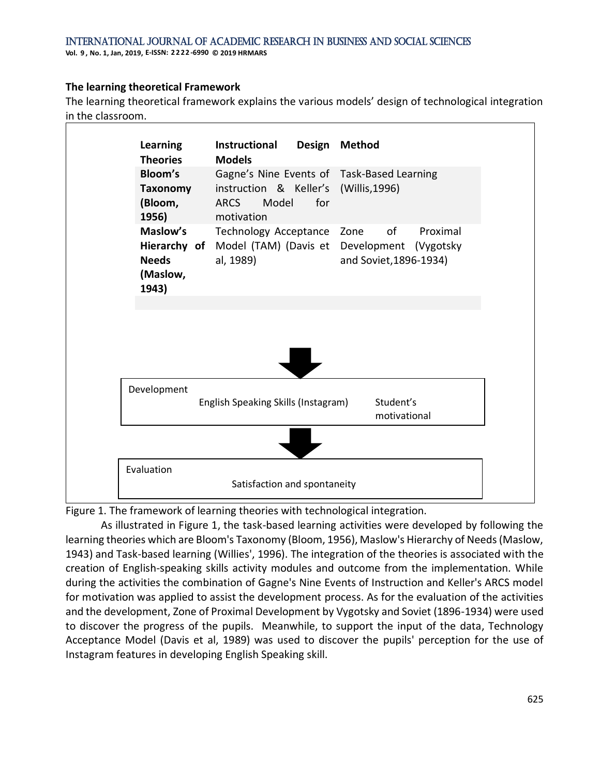**Vol. 9 , No. 1, Jan, 2019, E-ISSN: 2 2 22 -6990 © 2019 HRMARS**

# **The learning theoretical Framework**

The learning theoretical framework explains the various models' design of technological integration in the classroom.



Figure 1. The framework of learning theories with technological integration.

As illustrated in Figure 1, the task-based learning activities were developed by following the learning theories which are Bloom's Taxonomy (Bloom, 1956), Maslow's Hierarchy of Needs (Maslow, 1943) and Task-based learning (Willies', 1996). The integration of the theories is associated with the creation of English-speaking skills activity modules and outcome from the implementation. While during the activities the combination of Gagne's Nine Events of Instruction and Keller's ARCS model for motivation was applied to assist the development process. As for the evaluation of the activities and the development, Zone of Proximal Development by Vygotsky and Soviet (1896-1934) were used to discover the progress of the pupils. Meanwhile, to support the input of the data, Technology Acceptance Model (Davis et al, 1989) was used to discover the pupils' perception for the use of Instagram features in developing English Speaking skill.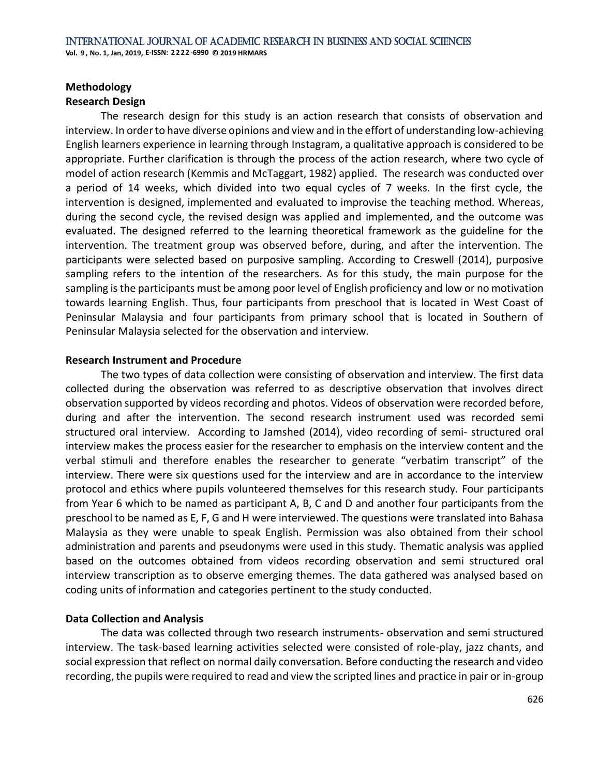# **Methodology**

# **Research Design**

The research design for this study is an action research that consists of observation and interview. In order to have diverse opinions and view and in the effort of understanding low-achieving English learners experience in learning through Instagram, a qualitative approach is considered to be appropriate. Further clarification is through the process of the action research, where two cycle of model of action research (Kemmis and McTaggart, 1982) applied. The research was conducted over a period of 14 weeks, which divided into two equal cycles of 7 weeks. In the first cycle, the intervention is designed, implemented and evaluated to improvise the teaching method. Whereas, during the second cycle, the revised design was applied and implemented, and the outcome was evaluated. The designed referred to the learning theoretical framework as the guideline for the intervention. The treatment group was observed before, during, and after the intervention. The participants were selected based on purposive sampling. According to Creswell (2014), purposive sampling refers to the intention of the researchers. As for this study, the main purpose for the sampling isthe participants must be among poor level of English proficiency and low or no motivation towards learning English. Thus, four participants from preschool that is located in West Coast of Peninsular Malaysia and four participants from primary school that is located in Southern of Peninsular Malaysia selected for the observation and interview.

# **Research Instrument and Procedure**

The two types of data collection were consisting of observation and interview. The first data collected during the observation was referred to as descriptive observation that involves direct observation supported by videos recording and photos. Videos of observation were recorded before, during and after the intervention. The second research instrument used was recorded semi structured oral interview. According to Jamshed (2014), video recording of semi- structured oral interview makes the process easier for the researcher to emphasis on the interview content and the verbal stimuli and therefore enables the researcher to generate "verbatim transcript" of the interview. There were six questions used for the interview and are in accordance to the interview protocol and ethics where pupils volunteered themselves for this research study. Four participants from Year 6 which to be named as participant A, B, C and D and another four participants from the preschool to be named as E, F, G and H were interviewed. The questions were translated into Bahasa Malaysia as they were unable to speak English. Permission was also obtained from their school administration and parents and pseudonyms were used in this study. Thematic analysis was applied based on the outcomes obtained from videos recording observation and semi structured oral interview transcription as to observe emerging themes. The data gathered was analysed based on coding units of information and categories pertinent to the study conducted.

# **Data Collection and Analysis**

The data was collected through two research instruments- observation and semi structured interview. The task-based learning activities selected were consisted of role-play, jazz chants, and social expression that reflect on normal daily conversation. Before conducting the research and video recording, the pupils were required to read and view the scripted lines and practice in pair or in-group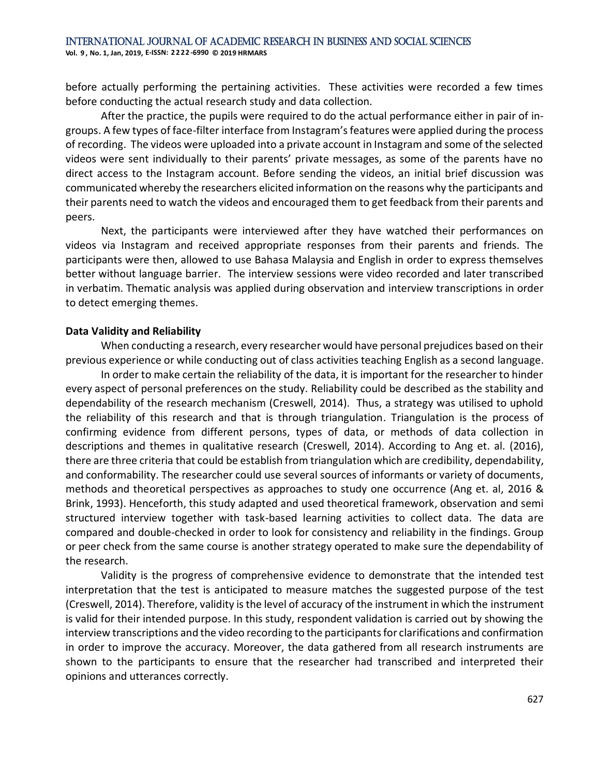before actually performing the pertaining activities. These activities were recorded a few times before conducting the actual research study and data collection.

After the practice, the pupils were required to do the actual performance either in pair of ingroups. A few types of face-filter interface from Instagram's features were applied during the process of recording. The videos were uploaded into a private account in Instagram and some of the selected videos were sent individually to their parents' private messages, as some of the parents have no direct access to the Instagram account. Before sending the videos, an initial brief discussion was communicated whereby the researchers elicited information on the reasons why the participants and their parents need to watch the videos and encouraged them to get feedback from their parents and peers.

Next, the participants were interviewed after they have watched their performances on videos via Instagram and received appropriate responses from their parents and friends. The participants were then, allowed to use Bahasa Malaysia and English in order to express themselves better without language barrier. The interview sessions were video recorded and later transcribed in verbatim. Thematic analysis was applied during observation and interview transcriptions in order to detect emerging themes.

#### **Data Validity and Reliability**

When conducting a research, every researcher would have personal prejudices based on their previous experience or while conducting out of class activities teaching English as a second language.

In order to make certain the reliability of the data, it is important for the researcher to hinder every aspect of personal preferences on the study. Reliability could be described as the stability and dependability of the research mechanism (Creswell, 2014). Thus, a strategy was utilised to uphold the reliability of this research and that is through triangulation. Triangulation is the process of confirming evidence from different persons, types of data, or methods of data collection in descriptions and themes in qualitative research (Creswell, 2014). According to Ang et. al. (2016), there are three criteria that could be establish from triangulation which are credibility, dependability, and conformability. The researcher could use several sources of informants or variety of documents, methods and theoretical perspectives as approaches to study one occurrence (Ang et. al, 2016 & Brink, 1993). Henceforth, this study adapted and used theoretical framework, observation and semi structured interview together with task-based learning activities to collect data. The data are compared and double-checked in order to look for consistency and reliability in the findings. Group or peer check from the same course is another strategy operated to make sure the dependability of the research.

Validity is the progress of comprehensive evidence to demonstrate that the intended test interpretation that the test is anticipated to measure matches the suggested purpose of the test (Creswell, 2014). Therefore, validity is the level of accuracy of the instrument in which the instrument is valid for their intended purpose. In this study, respondent validation is carried out by showing the interview transcriptions and the video recording to the participants for clarifications and confirmation in order to improve the accuracy. Moreover, the data gathered from all research instruments are shown to the participants to ensure that the researcher had transcribed and interpreted their opinions and utterances correctly.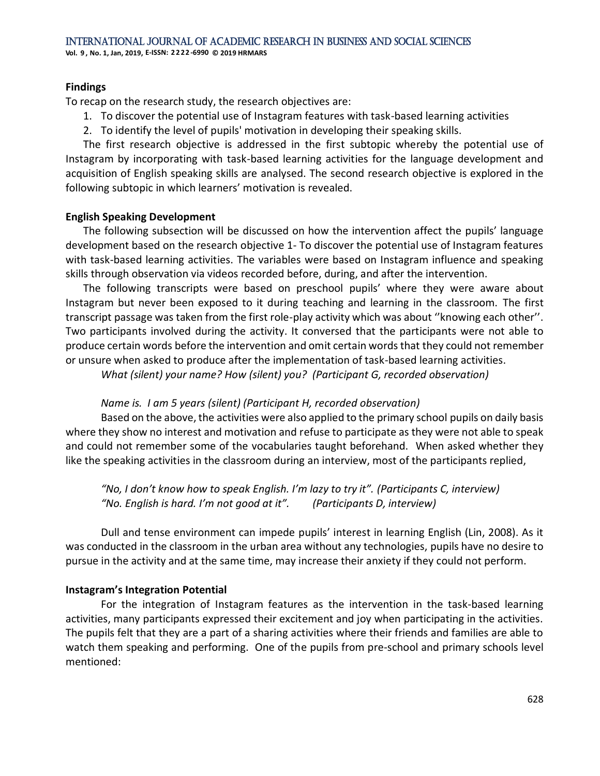**Vol. 9 , No. 1, Jan, 2019, E-ISSN: 2 2 22 -6990 © 2019 HRMARS**

## **Findings**

To recap on the research study, the research objectives are:

- 1. To discover the potential use of Instagram features with task-based learning activities
- 2. To identify the level of pupils' motivation in developing their speaking skills.

The first research objective is addressed in the first subtopic whereby the potential use of Instagram by incorporating with task-based learning activities for the language development and acquisition of English speaking skills are analysed. The second research objective is explored in the following subtopic in which learners' motivation is revealed.

## **English Speaking Development**

The following subsection will be discussed on how the intervention affect the pupils' language development based on the research objective 1- To discover the potential use of Instagram features with task-based learning activities. The variables were based on Instagram influence and speaking skills through observation via videos recorded before, during, and after the intervention.

The following transcripts were based on preschool pupils' where they were aware about Instagram but never been exposed to it during teaching and learning in the classroom. The first transcript passage was taken from the first role-play activity which was about ''knowing each other''. Two participants involved during the activity. It conversed that the participants were not able to produce certain words before the intervention and omit certain words that they could not remember or unsure when asked to produce after the implementation of task-based learning activities.

*What (silent) your name? How (silent) you? (Participant G, recorded observation)*

# *Name is. I am 5 years (silent) (Participant H, recorded observation)*

Based on the above, the activities were also applied to the primary school pupils on daily basis where they show no interest and motivation and refuse to participate as they were not able to speak and could not remember some of the vocabularies taught beforehand. When asked whether they like the speaking activities in the classroom during an interview, most of the participants replied,

*"No, I don't know how to speak English. I'm lazy to try it". (Participants C, interview) "No. English is hard. I'm not good at it". (Participants D, interview)*

Dull and tense environment can impede pupils' interest in learning English (Lin, 2008). As it was conducted in the classroom in the urban area without any technologies, pupils have no desire to pursue in the activity and at the same time, may increase their anxiety if they could not perform.

# **Instagram's Integration Potential**

For the integration of Instagram features as the intervention in the task-based learning activities, many participants expressed their excitement and joy when participating in the activities. The pupils felt that they are a part of a sharing activities where their friends and families are able to watch them speaking and performing. One of the pupils from pre-school and primary schools level mentioned: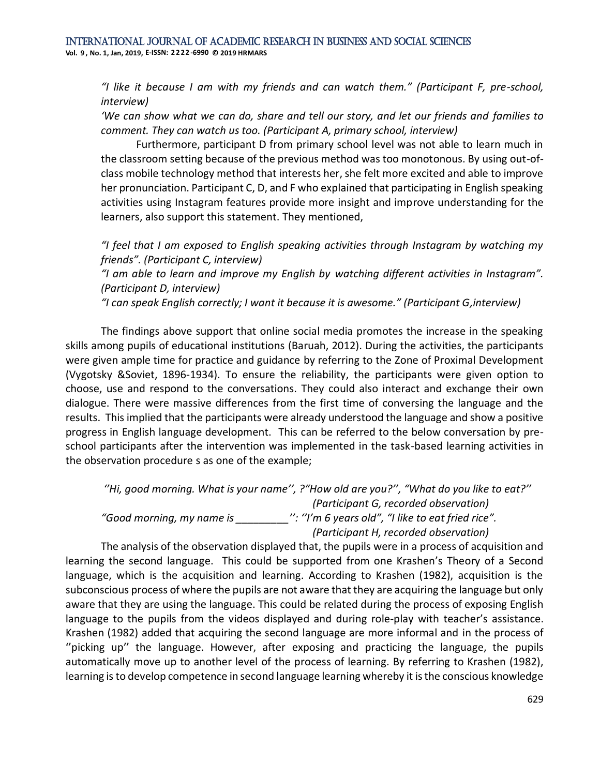*"I like it because I am with my friends and can watch them." (Participant F, pre-school, interview)*

*'We can show what we can do, share and tell our story, and let our friends and families to comment. They can watch us too. (Participant A, primary school, interview)*

Furthermore, participant D from primary school level was not able to learn much in the classroom setting because of the previous method was too monotonous. By using out-ofclass mobile technology method that interests her, she felt more excited and able to improve her pronunciation. Participant C, D, and F who explained that participating in English speaking activities using Instagram features provide more insight and improve understanding for the learners, also support this statement. They mentioned,

*"I feel that I am exposed to English speaking activities through Instagram by watching my friends". (Participant C, interview)*

*"I am able to learn and improve my English by watching different activities in Instagram". (Participant D, interview)*

*"I can speak English correctly; I want it because it is awesome." (Participant G,interview)*

The findings above support that online social media promotes the increase in the speaking skills among pupils of educational institutions (Baruah, 2012). During the activities, the participants were given ample time for practice and guidance by referring to the Zone of Proximal Development (Vygotsky &Soviet, 1896-1934). To ensure the reliability, the participants were given option to choose, use and respond to the conversations. They could also interact and exchange their own dialogue. There were massive differences from the first time of conversing the language and the results. This implied that the participants were already understood the language and show a positive progress in English language development. This can be referred to the below conversation by preschool participants after the intervention was implemented in the task-based learning activities in the observation procedure s as one of the example;

*''Hi, good morning. What is your name'', ?"How old are you?'', "What do you like to eat?'' (Participant G, recorded observation) "Good morning, my name is \_\_\_\_\_\_\_\_\_'': ''I'm 6 years old", "I like to eat fried rice". (Participant H, recorded observation)*

The analysis of the observation displayed that, the pupils were in a process of acquisition and learning the second language. This could be supported from one Krashen's Theory of a Second language, which is the acquisition and learning. According to Krashen (1982), acquisition is the subconscious process of where the pupils are not aware that they are acquiring the language but only aware that they are using the language. This could be related during the process of exposing English language to the pupils from the videos displayed and during role-play with teacher's assistance. Krashen (1982) added that acquiring the second language are more informal and in the process of "picking up" the language. However, after exposing and practicing the language, the pupils automatically move up to another level of the process of learning. By referring to Krashen (1982), learning is to develop competence in second language learning whereby it is the conscious knowledge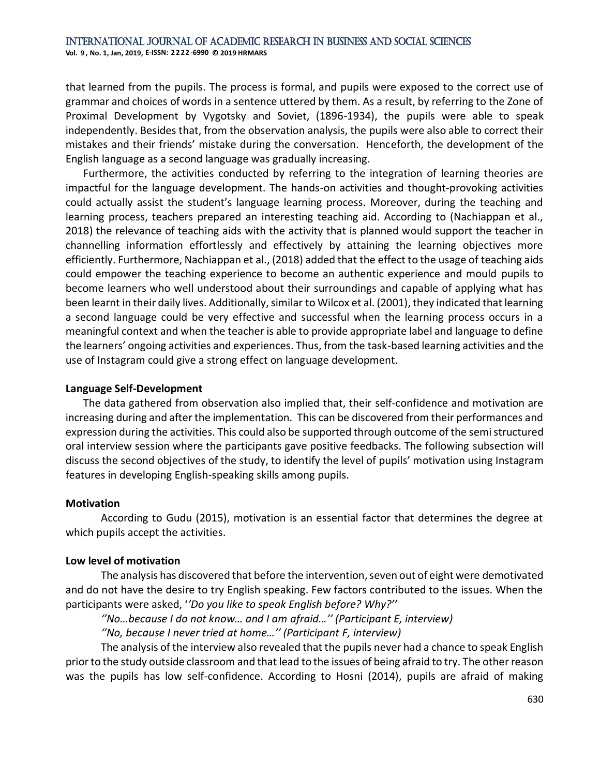that learned from the pupils. The process is formal, and pupils were exposed to the correct use of grammar and choices of words in a sentence uttered by them. As a result, by referring to the Zone of Proximal Development by Vygotsky and Soviet, (1896-1934), the pupils were able to speak independently. Besides that, from the observation analysis, the pupils were also able to correct their mistakes and their friends' mistake during the conversation. Henceforth, the development of the English language as a second language was gradually increasing.

Furthermore, the activities conducted by referring to the integration of learning theories are impactful for the language development. The hands-on activities and thought-provoking activities could actually assist the student's language learning process. Moreover, during the teaching and learning process, teachers prepared an interesting teaching aid. According to (Nachiappan et al., 2018) the relevance of teaching aids with the activity that is planned would support the teacher in channelling information effortlessly and effectively by attaining the learning objectives more efficiently. Furthermore, Nachiappan et al., (2018) added that the effect to the usage of teaching aids could empower the teaching experience to become an authentic experience and mould pupils to become learners who well understood about their surroundings and capable of applying what has been learnt in their daily lives. Additionally, similar to Wilcox et al. (2001), they indicated that learning a second language could be very effective and successful when the learning process occurs in a meaningful context and when the teacher is able to provide appropriate label and language to define the learners' ongoing activities and experiences. Thus, from the task-based learning activities and the use of Instagram could give a strong effect on language development.

#### **Language Self-Development**

The data gathered from observation also implied that, their self-confidence and motivation are increasing during and after the implementation. This can be discovered from their performances and expression during the activities. This could also be supported through outcome of the semi structured oral interview session where the participants gave positive feedbacks. The following subsection will discuss the second objectives of the study, to identify the level of pupils' motivation using Instagram features in developing English-speaking skills among pupils.

#### **Motivation**

According to Gudu (2015), motivation is an essential factor that determines the degree at which pupils accept the activities.

## **Low level of motivation**

The analysis has discovered that before the intervention, seven out of eight were demotivated and do not have the desire to try English speaking. Few factors contributed to the issues. When the participants were asked, '*'Do you like to speak English before? Why?''*

*''No…because I do not know… and I am afraid…'' (Participant E, interview)*

*''No, because I never tried at home…'' (Participant F, interview)*

The analysis of the interview also revealed that the pupils never had a chance to speak English prior to the study outside classroom and that lead to the issues of being afraid to try. The other reason was the pupils has low self-confidence. According to Hosni (2014), pupils are afraid of making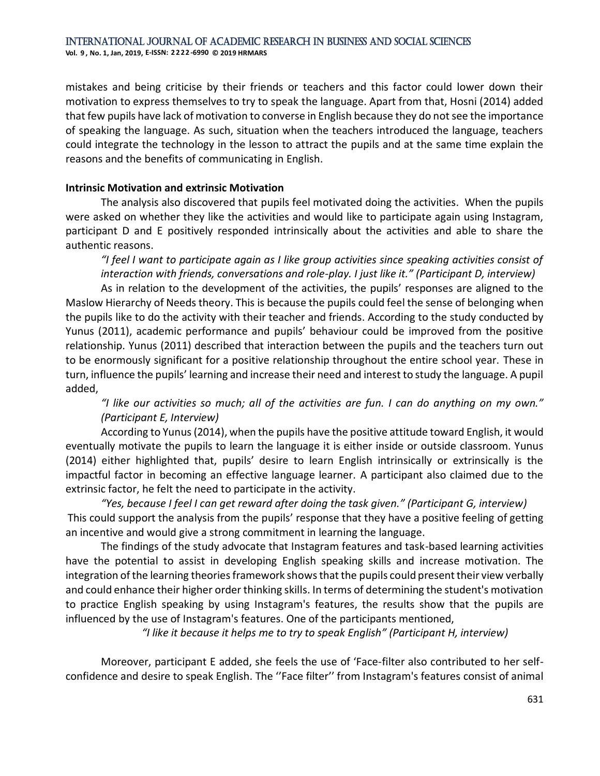mistakes and being criticise by their friends or teachers and this factor could lower down their motivation to express themselves to try to speak the language. Apart from that, Hosni (2014) added that few pupils have lack of motivation to converse in English because they do not see the importance of speaking the language. As such, situation when the teachers introduced the language, teachers could integrate the technology in the lesson to attract the pupils and at the same time explain the reasons and the benefits of communicating in English.

#### **Intrinsic Motivation and extrinsic Motivation**

The analysis also discovered that pupils feel motivated doing the activities. When the pupils were asked on whether they like the activities and would like to participate again using Instagram, participant D and E positively responded intrinsically about the activities and able to share the authentic reasons.

*"I feel I want to participate again as I like group activities since speaking activities consist of interaction with friends, conversations and role-play. I just like it." (Participant D, interview)*

As in relation to the development of the activities, the pupils' responses are aligned to the Maslow Hierarchy of Needs theory. This is because the pupils could feel the sense of belonging when the pupils like to do the activity with their teacher and friends. According to the study conducted by Yunus (2011), academic performance and pupils' behaviour could be improved from the positive relationship. Yunus (2011) described that interaction between the pupils and the teachers turn out to be enormously significant for a positive relationship throughout the entire school year. These in turn, influence the pupils' learning and increase their need and interest to study the language. A pupil added,

*"I like our activities so much; all of the activities are fun. I can do anything on my own." (Participant E, Interview)*

According to Yunus (2014), when the pupils have the positive attitude toward English, it would eventually motivate the pupils to learn the language it is either inside or outside classroom. Yunus (2014) either highlighted that, pupils' desire to learn English intrinsically or extrinsically is the impactful factor in becoming an effective language learner. A participant also claimed due to the extrinsic factor, he felt the need to participate in the activity.

*"Yes, because I feel I can get reward after doing the task given." (Participant G, interview)* This could support the analysis from the pupils' response that they have a positive feeling of getting an incentive and would give a strong commitment in learning the language.

The findings of the study advocate that Instagram features and task-based learning activities have the potential to assist in developing English speaking skills and increase motivation. The integration of the learning theories framework shows that the pupils could present their view verbally and could enhance their higher order thinking skills. In terms of determining the student's motivation to practice English speaking by using Instagram's features, the results show that the pupils are influenced by the use of Instagram's features. One of the participants mentioned,

*"I like it because it helps me to try to speak English" (Participant H, interview)*

Moreover, participant E added, she feels the use of 'Face-filter also contributed to her selfconfidence and desire to speak English. The ''Face filter'' from Instagram's features consist of animal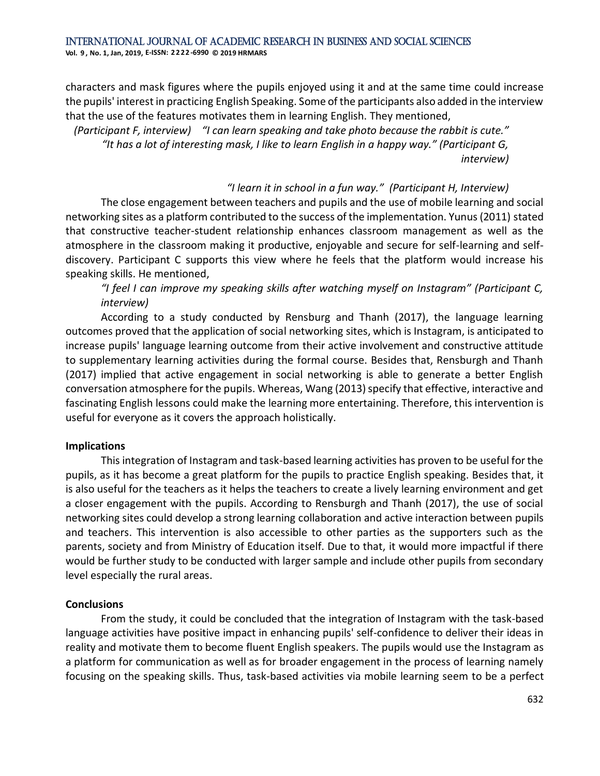characters and mask figures where the pupils enjoyed using it and at the same time could increase the pupils' interest in practicing English Speaking. Some of the participants also added in the interview that the use of the features motivates them in learning English. They mentioned,

*(Participant F, interview) "I can learn speaking and take photo because the rabbit is cute." "It has a lot of interesting mask, I like to learn English in a happy way." (Participant G, interview)*

#### *"I learn it in school in a fun way." (Participant H, Interview)*

The close engagement between teachers and pupils and the use of mobile learning and social networking sites as a platform contributed to the success of the implementation. Yunus (2011) stated that constructive teacher-student relationship enhances classroom management as well as the atmosphere in the classroom making it productive, enjoyable and secure for self-learning and selfdiscovery. Participant C supports this view where he feels that the platform would increase his speaking skills. He mentioned,

*"I feel I can improve my speaking skills after watching myself on Instagram" (Participant C, interview)*

According to a study conducted by Rensburg and Thanh (2017), the language learning outcomes proved that the application of social networking sites, which is Instagram, is anticipated to increase pupils' language learning outcome from their active involvement and constructive attitude to supplementary learning activities during the formal course. Besides that, Rensburgh and Thanh (2017) implied that active engagement in social networking is able to generate a better English conversation atmosphere for the pupils. Whereas, Wang (2013) specify that effective, interactive and fascinating English lessons could make the learning more entertaining. Therefore, this intervention is useful for everyone as it covers the approach holistically.

#### **Implications**

This integration of Instagram and task-based learning activities has proven to be useful for the pupils, as it has become a great platform for the pupils to practice English speaking. Besides that, it is also useful for the teachers as it helps the teachers to create a lively learning environment and get a closer engagement with the pupils. According to Rensburgh and Thanh (2017), the use of social networking sites could develop a strong learning collaboration and active interaction between pupils and teachers. This intervention is also accessible to other parties as the supporters such as the parents, society and from Ministry of Education itself. Due to that, it would more impactful if there would be further study to be conducted with larger sample and include other pupils from secondary level especially the rural areas.

#### **Conclusions**

From the study, it could be concluded that the integration of Instagram with the task-based language activities have positive impact in enhancing pupils' self-confidence to deliver their ideas in reality and motivate them to become fluent English speakers. The pupils would use the Instagram as a platform for communication as well as for broader engagement in the process of learning namely focusing on the speaking skills. Thus, task-based activities via mobile learning seem to be a perfect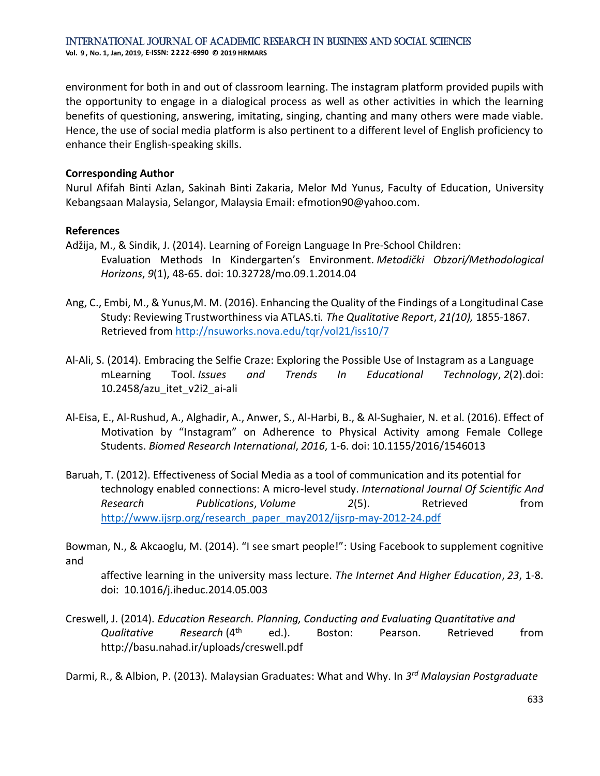environment for both in and out of classroom learning. The instagram platform provided pupils with the opportunity to engage in a dialogical process as well as other activities in which the learning benefits of questioning, answering, imitating, singing, chanting and many others were made viable. Hence, the use of social media platform is also pertinent to a different level of English proficiency to enhance their English-speaking skills.

## **Corresponding Author**

Nurul Afifah Binti Azlan, Sakinah Binti Zakaria, Melor Md Yunus, Faculty of Education, University Kebangsaan Malaysia, Selangor, Malaysia Email: efmotion90@yahoo.com.

#### **References**

- Adžija, M., & Sindik, J. (2014). Learning of Foreign Language In Pre-School Children: Evaluation Methods In Kindergarten's Environment. *Metodički Obzori/Methodological Horizons*, *9*(1), 48-65. doi: 10.32728/mo.09.1.2014.04
- Ang, C., Embi, M., & Yunus,M. M. (2016). Enhancing the Quality of the Findings of a Longitudinal Case Study: Reviewing Trustworthiness via ATLAS.ti*. The Qualitative Report*, *21(10),* 1855-1867. Retrieved from<http://nsuworks.nova.edu/tqr/vol21/iss10/7>
- Al-Ali, S. (2014). Embracing the Selfie Craze: Exploring the Possible Use of Instagram as a Language mLearning Tool. *Issues and Trends In Educational Technology*, *2*(2).doi: 10.2458/azu\_itet\_v2i2\_ai-ali
- Al-Eisa, E., Al-Rushud, A., Alghadir, A., Anwer, S., Al-Harbi, B., & Al-Sughaier, N. et al. (2016). Effect of Motivation by "Instagram" on Adherence to Physical Activity among Female College Students. *Biomed Research International*, *2016*, 1-6. doi: 10.1155/2016/1546013
- Baruah, T. (2012). Effectiveness of Social Media as a tool of communication and its potential for technology enabled connections: A micro-level study. *International Journal Of Scientific And Research Publications*, *Volume 2*(5). Retrieved from [http://www.ijsrp.org/research\\_paper\\_may2012/ijsrp-may-2012-24.pdf](http://www.ijsrp.org/research_paper_may2012/ijsrp-may-2012-24.pdf)

Bowman, N., & Akcaoglu, M. (2014). "I see smart people!": Using Facebook to supplement cognitive and

affective learning in the university mass lecture. *The Internet And Higher Education*, *23*, 1-8. doi: 10.1016/j.iheduc.2014.05.003

Creswell, J. (2014). *Education Research. Planning, Conducting and Evaluating Quantitative and Qualitative Research* (4th ed.). Boston: Pearson. Retrieved from http://basu.nahad.ir/uploads/creswell.pdf

Darmi, R., & Albion, P. (2013). Malaysian Graduates: What and Why. In *3 rd Malaysian Postgraduate*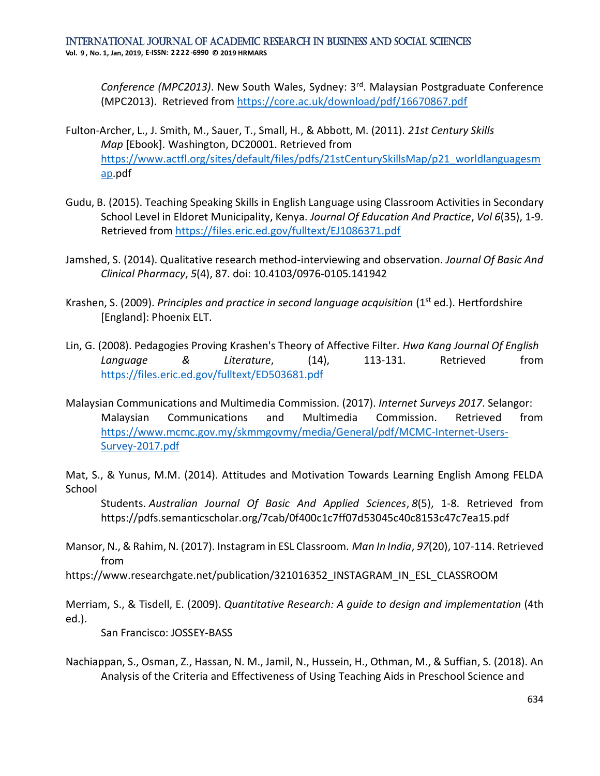*Conference (MPC2013)*. New South Wales, Sydney: 3rd. Malaysian Postgraduate Conference (MPC2013). Retrieved from<https://core.ac.uk/download/pdf/16670867.pdf>

- Fulton-Archer, L., J. Smith, M., Sauer, T., Small, H., & Abbott, M. (2011). *21st Century Skills Map* [Ebook]. Washington, DC20001. Retrieved from [https://www.actfl.org/sites/default/files/pdfs/21stCenturySkillsMap/p21\\_worldlanguagesm](https://www.actfl.org/sites/default/files/pdfs/21stCenturySkillsMap/p21_worldlanguagesmap) [ap.](https://www.actfl.org/sites/default/files/pdfs/21stCenturySkillsMap/p21_worldlanguagesmap)pdf
- Gudu, B. (2015). Teaching Speaking Skills in English Language using Classroom Activities in Secondary School Level in Eldoret Municipality, Kenya. *Journal Of Education And Practice*, *Vol 6*(35), 1-9. Retrieved from<https://files.eric.ed.gov/fulltext/EJ1086371.pdf>
- Jamshed, S. (2014). Qualitative research method-interviewing and observation. *Journal Of Basic And Clinical Pharmacy*, *5*(4), 87. doi: 10.4103/0976-0105.141942
- Krashen, S. (2009). *Principles and practice in second language acquisition* (1st ed.). Hertfordshire [England]: Phoenix ELT.
- Lin, G. (2008). Pedagogies Proving Krashen's Theory of Affective Filter. *Hwa Kang Journal Of English Language & Literature*, (14), 113-131. Retrieved from <https://files.eric.ed.gov/fulltext/ED503681.pdf>
- Malaysian Communications and Multimedia Commission. (2017). *Internet Surveys 2017*. Selangor: Malaysian Communications and Multimedia Commission. Retrieved from [https://www.mcmc.gov.my/skmmgovmy/media/General/pdf/MCMC-Internet-Users-](https://www.mcmc.gov.my/skmmgovmy/media/General/pdf/MCMC-Internet-Users-Survey-2017.pdf)[Survey-2017.pdf](https://www.mcmc.gov.my/skmmgovmy/media/General/pdf/MCMC-Internet-Users-Survey-2017.pdf)

Mat, S., & Yunus, M.M. (2014). Attitudes and Motivation Towards Learning English Among FELDA School

Students. *Australian Journal Of Basic And Applied Sciences*, *8*(5), 1-8. Retrieved from https://pdfs.semanticscholar.org/7cab/0f400c1c7ff07d53045c40c8153c47c7ea15.pdf

Mansor, N., & Rahim, N. (2017). Instagram in ESL Classroom. *Man In India*, *97*(20), 107-114. Retrieved from

https://www.researchgate.net/publication/321016352\_INSTAGRAM\_IN\_ESL\_CLASSROOM

Merriam, S., & Tisdell, E. (2009). *Quantitative Research: A guide to design and implementation* (4th ed.).

San Francisco: JOSSEY-BASS

Nachiappan, S., Osman, Z., Hassan, N. M., Jamil, N., Hussein, H., Othman, M., & Suffian, S. (2018). An Analysis of the Criteria and Effectiveness of Using Teaching Aids in Preschool Science and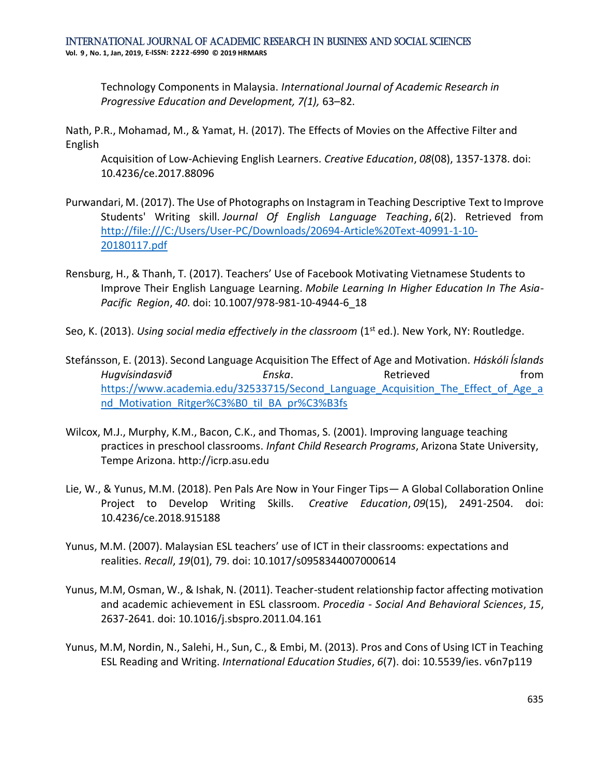Technology Components in Malaysia. *International Journal of Academic Research in Progressive Education and Development, 7(1),* 63–82.

Nath, P.R., Mohamad, M., & Yamat, H. (2017). The Effects of Movies on the Affective Filter and English

Acquisition of Low-Achieving English Learners. *Creative Education*, *08*(08), 1357-1378. doi: 10.4236/ce.2017.88096

- Purwandari, M. (2017). The Use of Photographs on Instagram in Teaching Descriptive Text to Improve Students' Writing skill. *Journal Of English Language Teaching*, *6*(2). Retrieved from [http://file:///C:/Users/User-PC/Downloads/20694-Article%20Text-40991-1-10-](http://file/C:/Users/User-PC/Downloads/20694-Article%20Text-40991-1-10-20180117.pdf) [20180117.pdf](http://file/C:/Users/User-PC/Downloads/20694-Article%20Text-40991-1-10-20180117.pdf)
- Rensburg, H., & Thanh, T. (2017). Teachers' Use of Facebook Motivating Vietnamese Students to Improve Their English Language Learning. *Mobile Learning In Higher Education In The Asia-Pacific Region*, *40*. doi: 10.1007/978-981-10-4944-6\_18
- Seo, K. (2013). *Using social media effectively in the classroom* (1<sup>st</sup> ed.). New York, NY: Routledge.
- Stefánsson, E. (2013). Second Language Acquisition The Effect of Age and Motivation. *Háskóli Íslands Hugvísindasvið Enska*. Retrieved from https://www.academia.edu/32533715/Second Language Acquisition The Effect of Age a nd Motivation Ritger%C3%B0 til BA pr%C3%B3fs
- Wilcox, M.J., Murphy, K.M., Bacon, C.K., and Thomas, S. (2001). Improving language teaching practices in preschool classrooms. *Infant Child Research Programs*, Arizona State University, Tempe Arizona. http://icrp.asu.edu
- Lie, W., & Yunus, M.M. (2018). Pen Pals Are Now in Your Finger Tips— A Global Collaboration Online Project to Develop Writing Skills. *Creative Education*, *09*(15), 2491-2504. doi: 10.4236/ce.2018.915188
- Yunus, M.M. (2007). Malaysian ESL teachers' use of ICT in their classrooms: expectations and realities. *Recall*, *19*(01), 79. doi: 10.1017/s0958344007000614
- Yunus, M.M, Osman, W., & Ishak, N. (2011). Teacher-student relationship factor affecting motivation and academic achievement in ESL classroom. *Procedia - Social And Behavioral Sciences*, *15*, 2637-2641. doi: 10.1016/j.sbspro.2011.04.161
- Yunus, M.M, Nordin, N., Salehi, H., Sun, C., & Embi, M. (2013). Pros and Cons of Using ICT in Teaching ESL Reading and Writing. *International Education Studies*, *6*(7). doi: 10.5539/ies. v6n7p119